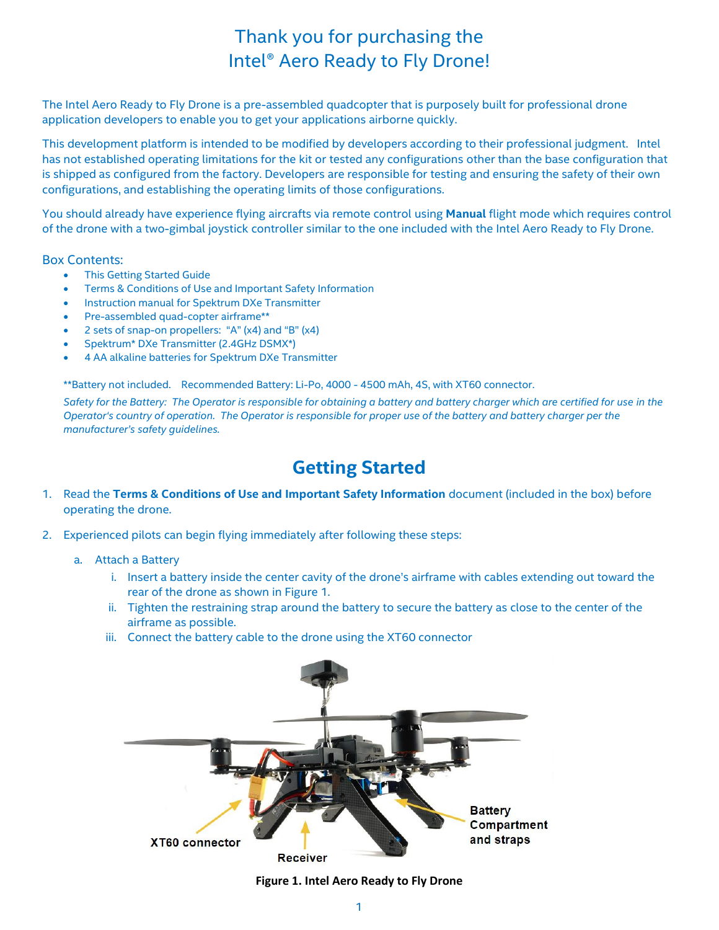# Thank you for purchasing the Intel® Aero Ready to Fly Drone!

The Intel Aero Ready to Fly Drone is a pre-assembled quadcopter that is purposely built for professional drone application developers to enable you to get your applications airborne quickly.

This development platform is intended to be modified by developers according to their professional judgment. Intel has not established operating limitations for the kit or tested any configurations other than the base configuration that is shipped as configured from the factory. Developers are responsible for testing and ensuring the safety of their own configurations, and establishing the operating limits of those configurations.

You should already have experience flying aircrafts via remote control using **Manual** flight mode which requires control of the drone with a two-gimbal joystick controller similar to the one included with the Intel Aero Ready to Fly Drone.

# Box Contents:

- This Getting Started Guide
- Terms & Conditions of Use and Important Safety Information
- Instruction manual for Spektrum DXe Transmitter
- Pre-assembled quad-copter airframe\*\*
- 2 sets of snap-on propellers: "A" (x4) and "B" (x4)
- Spektrum\* DXe Transmitter (2.4GHz DSMX\*)
- 4 AA alkaline batteries for Spektrum DXe Transmitter

\*\*Battery not included. Recommended Battery: Li-Po, 4000 - 4500 mAh, 4S, with XT60 connector.

*Safety for the Battery: The Operator is responsible for obtaining a battery and battery charger which are certified for use in the Operator's country of operation. The Operator is responsible for proper use of the battery and battery charger per the manufacturer's safety guidelines.* 

# **Getting Started**

- 1. Read the **Terms & Conditions of Use and Important Safety Information** document (included in the box) before operating the drone.
- 2. Experienced pilots can begin flying immediately after following these steps:
	- a. Attach a Battery
		- i. Insert a battery inside the center cavity of the drone's airframe with cables extending out toward the rear of the drone as shown in Figure 1.
		- ii. Tighten the restraining strap around the battery to secure the battery as close to the center of the airframe as possible.
		- iii. Connect the battery cable to the drone using the XT60 connector



**Figure 1. Intel Aero Ready to Fly Drone**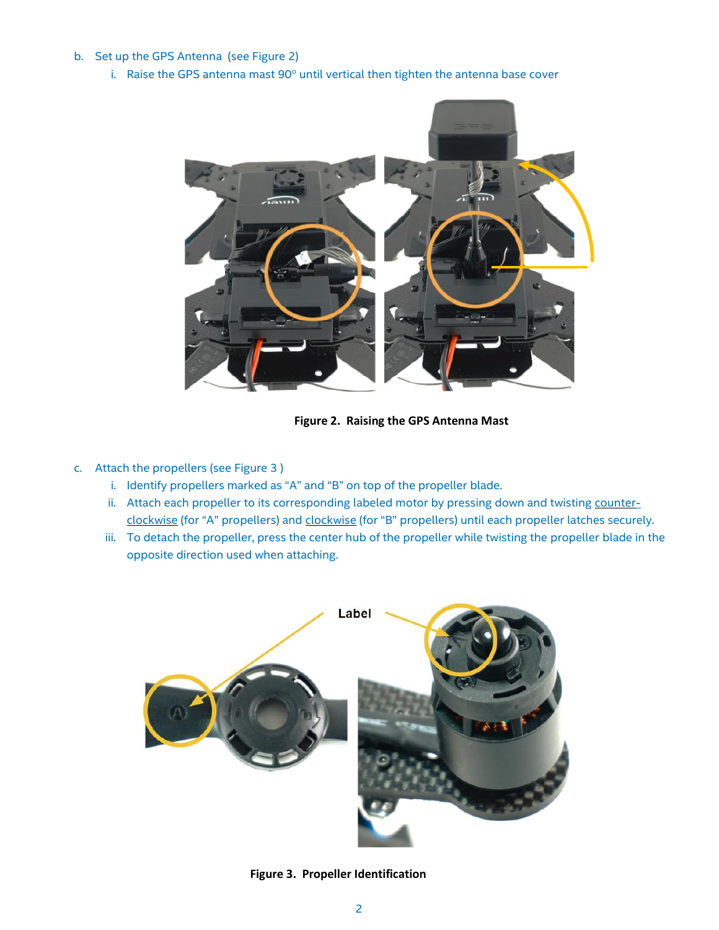# b. Set up the GPS Antenna (see Figure 2)

i. Raise the GPS antenna mast 90° until vertical then tighten the antenna base cover



**Figure 2. Raising the GPS Antenna Mast**

# c. Attach the propellers (see Figure 3 )

- i. Identify propellers marked as "A" and "B" on top of the propeller blade.
- ii. Attach each propeller to its corresponding labeled motor by pressing down and twisting counterclockwise (for "A" propellers) and clockwise (for "B" propellers) until each propeller latches securely.
- iii. To detach the propeller, press the center hub of the propeller while twisting the propeller blade in the opposite direction used when attaching.



**Figure 3. Propeller Identification**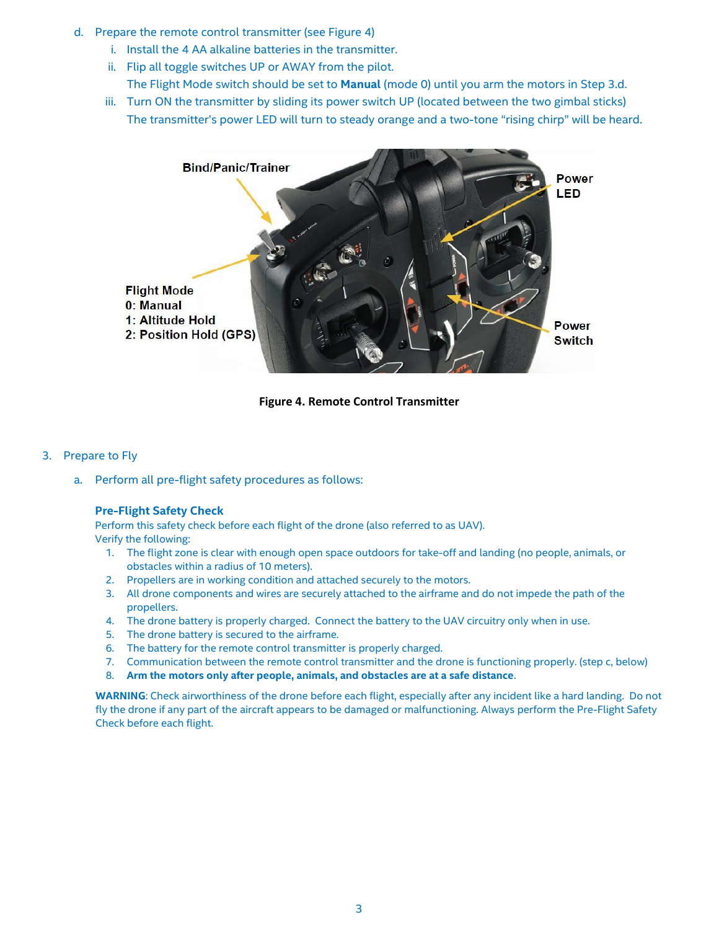- d. Prepare the remote control transmitter (see Figure 4)
	- i. Install the 4 AA alkaline batteries in the transmitter.
	- ii. Flip all toggle switches UP or AWAY from the pilot.
		- The Flight Mode switch should be set to **Manual** (mode 0) until you arm the motors in Step 3.d.
	- iii. Turn ON the transmitter by sliding its power switch UP (located between the two gimbal sticks) The transmitter's power LED will turn to steady orange and a two-tone "rising chirp" will be heard.



**Figure 4. Remote Control Transmitter**

- 3. Prepare to Fly
	- a. Perform all pre-flight safety procedures as follows:

#### **Pre-Flight Safety Check**

Perform this safety check before each flight of the drone (also referred to as UAV). Verify the following:

- 1. The flight zone is clear with enough open space outdoors for take-off and landing (no people, animals, or obstacles within a radius of 10 meters).
- 2. Propellers are in working condition and attached securely to the motors.
- 3. All drone components and wires are securely attached to the airframe and do not impede the path of the propellers.
- 4. The drone battery is properly charged. Connect the battery to the UAV circuitry only when in use.
- 5. The drone battery is secured to the airframe.
- 6. The battery for the remote control transmitter is properly charged.
- 7. Communication between the remote control transmitter and the drone is functioning properly. (step c, below)
- 8. **Arm the motors only after people, animals, and obstacles are at a safe distance**.

**WARNING**: Check airworthiness of the drone before each flight, especially after any incident like a hard landing. Do not fly the drone if any part of the aircraft appears to be damaged or malfunctioning. Always perform the Pre-Flight Safety Check before each flight.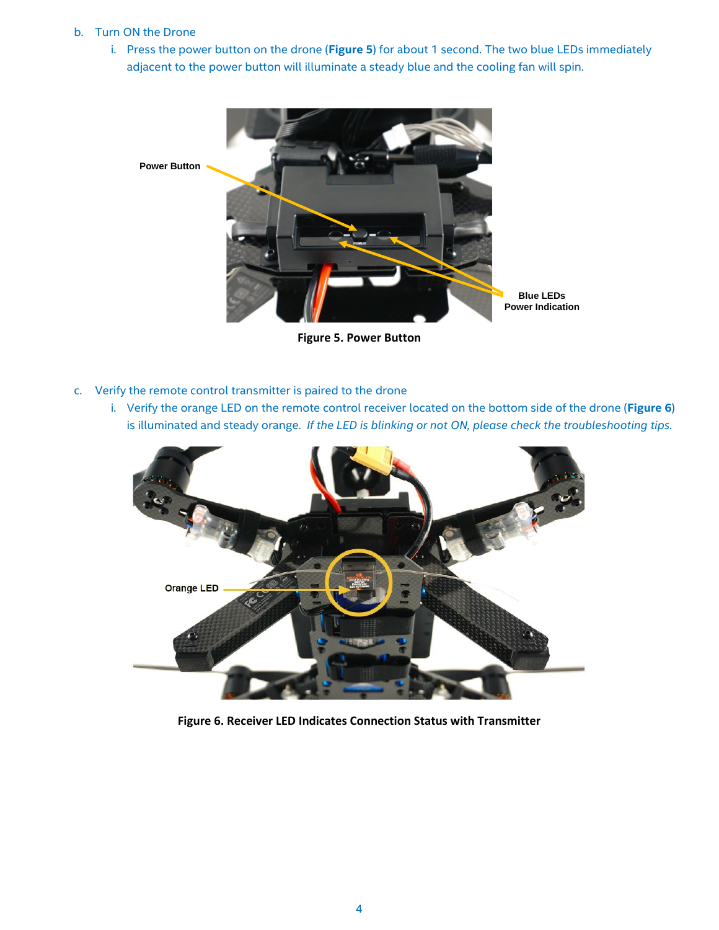# b. Turn ON the Drone

i. Press the power button on the drone (**Figure 5**) for about 1 second. The two blue LEDs immediately adjacent to the power button will illuminate a steady blue and the cooling fan will spin.



**Figure 5. Power Button**

- c. Verify the remote control transmitter is paired to the drone
	- i. Verify the orange LED on the remote control receiver located on the bottom side of the drone (**Figure 6**) is illuminated and steady orange. *If the LED is blinking or not ON, please check the troubleshooting tips.*



**Figure 6. Receiver LED Indicates Connection Status with Transmitter**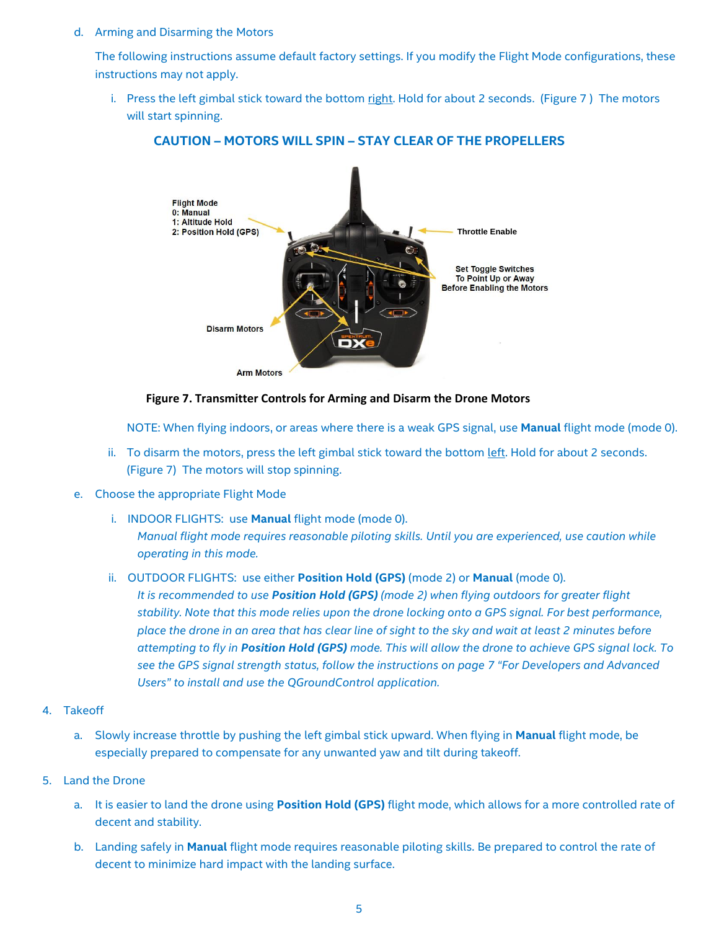#### d. Arming and Disarming the Motors

The following instructions assume default factory settings. If you modify the Flight Mode configurations, these instructions may not apply.

i. Press the left gimbal stick toward the bottom right. Hold for about 2 seconds. (Figure 7) The motors will start spinning.



# **CAUTION – MOTORS WILL SPIN – STAY CLEAR OF THE PROPELLERS**

#### **Figure 7. Transmitter Controls for Arming and Disarm the Drone Motors**

NOTE: When flying indoors, or areas where there is a weak GPS signal, use **Manual** flight mode (mode 0).

- ii. To disarm the motors, press the left gimbal stick toward the bottom left. Hold for about 2 seconds. (Figure 7) The motors will stop spinning.
- e. Choose the appropriate Flight Mode
	- i. INDOOR FLIGHTS: use **Manual** flight mode (mode 0). *Manual flight mode requires reasonable piloting skills. Until you are experienced, use caution while operating in this mode.*
	- ii. OUTDOOR FLIGHTS: use either **Position Hold (GPS)** (mode 2) or **Manual** (mode 0).

*It is recommended to use Position Hold (GPS) (mode 2) when flying outdoors for greater flight stability. Note that this mode relies upon the drone locking onto a GPS signal. For best performance, place the drone in an area that has clear line of sight to the sky and wait at least 2 minutes before attempting to fly in Position Hold (GPS) mode. This will allow the drone to achieve GPS signal lock. To see the GPS signal strength status, follow the instructions on page 7 "For Developers and Advanced Users" to install and use the QGroundControl application.*

#### 4. Takeoff

a. Slowly increase throttle by pushing the left gimbal stick upward. When flying in **Manual** flight mode, be especially prepared to compensate for any unwanted yaw and tilt during takeoff.

# 5. Land the Drone

- a. It is easier to land the drone using **Position Hold (GPS)** flight mode, which allows for a more controlled rate of decent and stability.
- b. Landing safely in **Manual** flight mode requires reasonable piloting skills. Be prepared to control the rate of decent to minimize hard impact with the landing surface.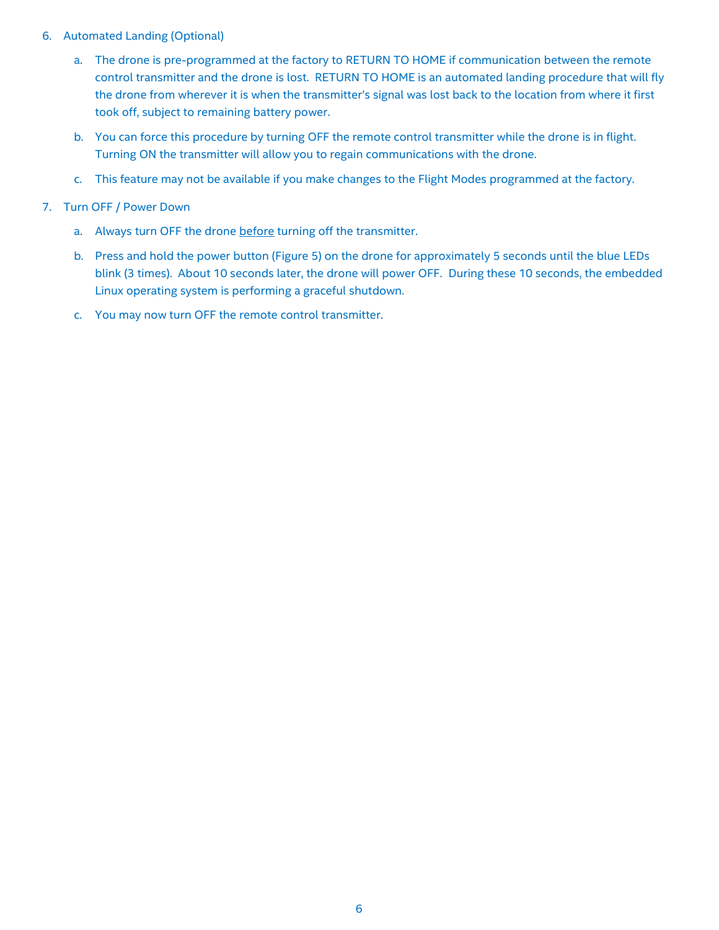# 6. Automated Landing (Optional)

- a. The drone is pre-programmed at the factory to RETURN TO HOME if communication between the remote control transmitter and the drone is lost. RETURN TO HOME is an automated landing procedure that will fly the drone from wherever it is when the transmitter's signal was lost back to the location from where it first took off, subject to remaining battery power.
- b. You can force this procedure by turning OFF the remote control transmitter while the drone is in flight. Turning ON the transmitter will allow you to regain communications with the drone.
- c. This feature may not be available if you make changes to the Flight Modes programmed at the factory.

# 7. Turn OFF / Power Down

- a. Always turn OFF the drone before turning off the transmitter.
- b. Press and hold the power button (Figure 5) on the drone for approximately 5 seconds until the blue LEDs blink (3 times). About 10 seconds later, the drone will power OFF. During these 10 seconds, the embedded Linux operating system is performing a graceful shutdown.
- c. You may now turn OFF the remote control transmitter.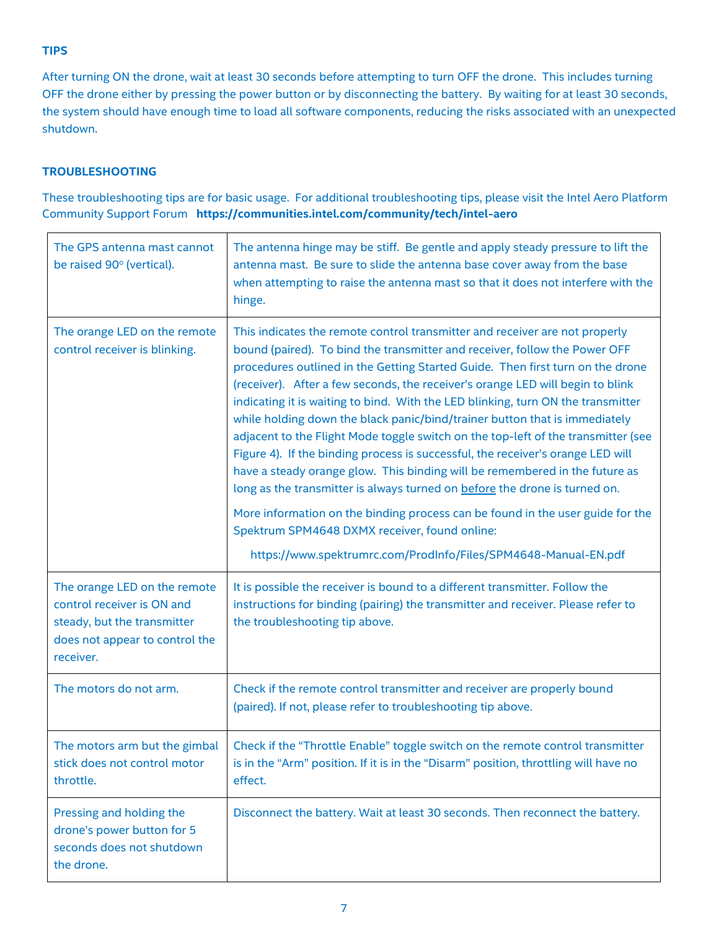# **TIPS**

After turning ON the drone, wait at least 30 seconds before attempting to turn OFF the drone. This includes turning OFF the drone either by pressing the power button or by disconnecting the battery. By waiting for at least 30 seconds, the system should have enough time to load all software components, reducing the risks associated with an unexpected shutdown.

# **TROUBLESHOOTING**

These troubleshooting tips are for basic usage. For additional troubleshooting tips, please visit the Intel Aero Platform Community Support Forum **https://communities.intel.com/community/tech/intel-aero**

| The GPS antenna mast cannot<br>be raised 90° (vertical).                                                                                 | The antenna hinge may be stiff. Be gentle and apply steady pressure to lift the<br>antenna mast. Be sure to slide the antenna base cover away from the base<br>when attempting to raise the antenna mast so that it does not interfere with the<br>hinge.                                                                                                                                                                                                                                                                                                                                                                                                                                                                                                                                                                                                                                                                                                                                                                                  |
|------------------------------------------------------------------------------------------------------------------------------------------|--------------------------------------------------------------------------------------------------------------------------------------------------------------------------------------------------------------------------------------------------------------------------------------------------------------------------------------------------------------------------------------------------------------------------------------------------------------------------------------------------------------------------------------------------------------------------------------------------------------------------------------------------------------------------------------------------------------------------------------------------------------------------------------------------------------------------------------------------------------------------------------------------------------------------------------------------------------------------------------------------------------------------------------------|
| The orange LED on the remote<br>control receiver is blinking.                                                                            | This indicates the remote control transmitter and receiver are not properly<br>bound (paired). To bind the transmitter and receiver, follow the Power OFF<br>procedures outlined in the Getting Started Guide. Then first turn on the drone<br>(receiver). After a few seconds, the receiver's orange LED will begin to blink<br>indicating it is waiting to bind. With the LED blinking, turn ON the transmitter<br>while holding down the black panic/bind/trainer button that is immediately<br>adjacent to the Flight Mode toggle switch on the top-left of the transmitter (see<br>Figure 4). If the binding process is successful, the receiver's orange LED will<br>have a steady orange glow. This binding will be remembered in the future as<br>long as the transmitter is always turned on before the drone is turned on.<br>More information on the binding process can be found in the user guide for the<br>Spektrum SPM4648 DXMX receiver, found online:<br>https://www.spektrumrc.com/ProdInfo/Files/SPM4648-Manual-EN.pdf |
| The orange LED on the remote<br>control receiver is ON and<br>steady, but the transmitter<br>does not appear to control the<br>receiver. | It is possible the receiver is bound to a different transmitter. Follow the<br>instructions for binding (pairing) the transmitter and receiver. Please refer to<br>the troubleshooting tip above.                                                                                                                                                                                                                                                                                                                                                                                                                                                                                                                                                                                                                                                                                                                                                                                                                                          |
| The motors do not arm.                                                                                                                   | Check if the remote control transmitter and receiver are properly bound<br>(paired). If not, please refer to troubleshooting tip above.                                                                                                                                                                                                                                                                                                                                                                                                                                                                                                                                                                                                                                                                                                                                                                                                                                                                                                    |
| The motors arm but the gimbal<br>stick does not control motor<br>throttle.                                                               | Check if the "Throttle Enable" toggle switch on the remote control transmitter<br>is in the "Arm" position. If it is in the "Disarm" position, throttling will have no<br>effect.                                                                                                                                                                                                                                                                                                                                                                                                                                                                                                                                                                                                                                                                                                                                                                                                                                                          |
| Pressing and holding the<br>drone's power button for 5<br>seconds does not shutdown<br>the drone.                                        | Disconnect the battery. Wait at least 30 seconds. Then reconnect the battery.                                                                                                                                                                                                                                                                                                                                                                                                                                                                                                                                                                                                                                                                                                                                                                                                                                                                                                                                                              |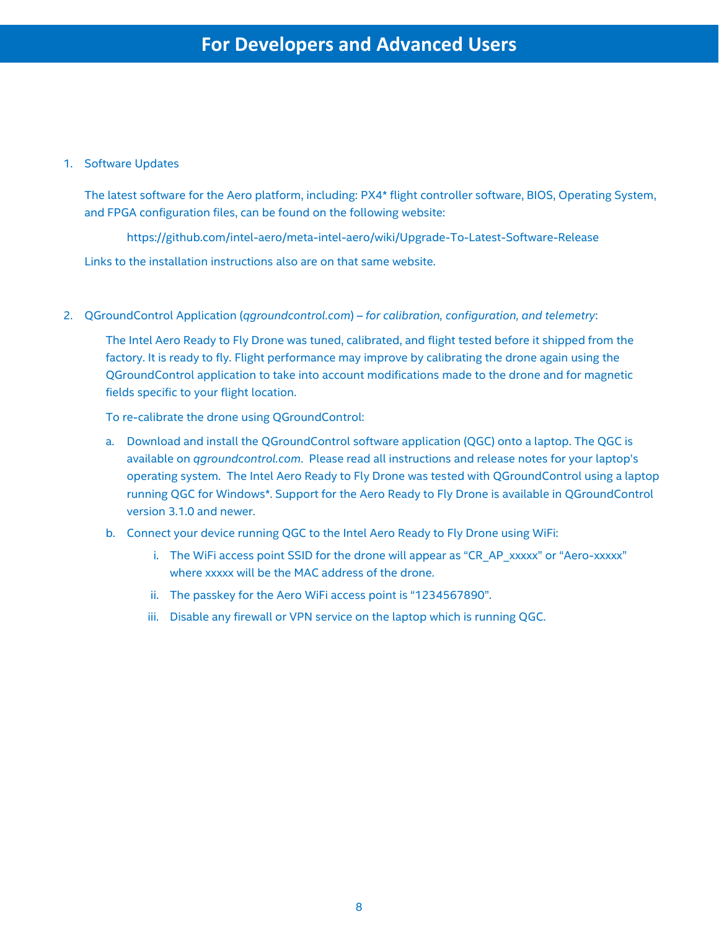# 1. Software Updates

The latest software for the Aero platform, including: PX4\* flight controller software, BIOS, Operating System, and FPGA configuration files, can be found on the following website:

https://github.com/intel-aero/meta-intel-aero/wiki/Upgrade-To-Latest-Software-Release Links to the installation instructions also are on that same website.

2. QGroundControl Application (*qgroundcontrol.com*) – *for calibration, configuration, and telemetry*:

The Intel Aero Ready to Fly Drone was tuned, calibrated, and flight tested before it shipped from the factory. It is ready to fly. Flight performance may improve by calibrating the drone again using the QGroundControl application to take into account modifications made to the drone and for magnetic fields specific to your flight location.

To re-calibrate the drone using QGroundControl:

- a. Download and install the QGroundControl software application (QGC) onto a laptop. The QGC is available on *qgroundcontrol.com*. Please read all instructions and release notes for your laptop's operating system. The Intel Aero Ready to Fly Drone was tested with QGroundControl using a laptop running QGC for Windows\*. Support for the Aero Ready to Fly Drone is available in QGroundControl version 3.1.0 and newer.
- b. Connect your device running QGC to the Intel Aero Ready to Fly Drone using WiFi:
	- i. The WiFi access point SSID for the drone will appear as "CR\_AP\_xxxxx" or "Aero-xxxxx" where xxxxx will be the MAC address of the drone.
	- ii. The passkey for the Aero WiFi access point is "1234567890".
	- iii. Disable any firewall or VPN service on the laptop which is running QGC.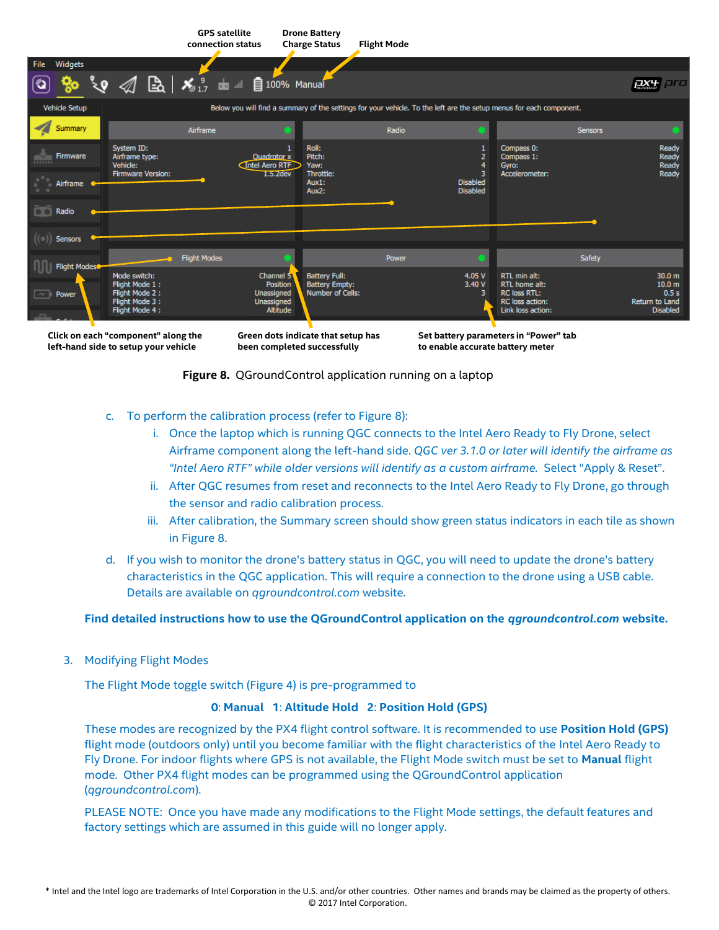|                                                                               | <b>GPS</b> satellite<br>connection status                                               | <b>Drone Battery</b><br><b>Charge Status</b>                                                                                       | <b>Flight Mode</b> |                                    |                                                                                              |                                                                                     |
|-------------------------------------------------------------------------------|-----------------------------------------------------------------------------------------|------------------------------------------------------------------------------------------------------------------------------------|--------------------|------------------------------------|----------------------------------------------------------------------------------------------|-------------------------------------------------------------------------------------|
| Widgets<br>File                                                               |                                                                                         |                                                                                                                                    |                    |                                    |                                                                                              |                                                                                     |
|                                                                               | $\frac{1}{2}$ $\frac{1}{2}$ $\frac{1}{2}$ $\frac{1}{2}$ $\frac{1}{2}$ 100% Manual<br>B. |                                                                                                                                    |                    |                                    |                                                                                              | <b>DFO</b><br><b>DX+</b>                                                            |
| Vehicle Setup                                                                 |                                                                                         | Below you will find a summary of the settings for your vehicle. To the left are the setup menus for each component.                |                    |                                    |                                                                                              |                                                                                     |
| Summary                                                                       | Airframe                                                                                |                                                                                                                                    | Radio              |                                    |                                                                                              | <b>Sensors</b>                                                                      |
| System ID:<br><b>Firmware</b><br>Airframe type:<br><b>BREEZER</b><br>Vehicle: |                                                                                         | Roll:<br>Pitch:<br>Ouadrotor x<br>Intel Aero RTF<br>Yaw:                                                                           |                    |                                    | Compass 0:<br>Compass 1:<br>Gyro:                                                            | Ready<br>Ready<br>Ready                                                             |
| Airframe                                                                      | Firmware Version:                                                                       | Throttle:<br>$1.5.2$ dev<br>Aux1:<br>Aux2:                                                                                         |                    | <b>Disabled</b><br><b>Disabled</b> | Accelerometer:                                                                               | Ready                                                                               |
| Radio<br>$\circ$ $\circ$                                                      |                                                                                         |                                                                                                                                    |                    |                                    |                                                                                              |                                                                                     |
| <b>Sensors</b>                                                                |                                                                                         |                                                                                                                                    |                    |                                    |                                                                                              |                                                                                     |
| Flight Modes                                                                  | <b>Flight Modes</b>                                                                     |                                                                                                                                    | Power              |                                    |                                                                                              | Safety                                                                              |
| Mode switch:<br>Power<br>$\sim$                                               | Flight Mode 1:<br>Flight Mode 2:<br>Flight Mode 3:<br>Flight Mode 4:                    | <b>Battery Full:</b><br>Channel 5<br>Position<br><b>Battery Empty:</b><br>Number of Cells:<br>Unassigned<br>Unassigned<br>Altitude |                    | 4.05 V<br>3.40 V<br>з              | RTL min alt:<br>RTL home alt:<br><b>RC loss RTL:</b><br>RC loss action:<br>Link loss action: | 30.0 <sub>m</sub><br>10.0 <sub>m</sub><br>0.5s<br>Return to Land<br><b>Disabled</b> |
| Click on each "component" along the                                           |                                                                                         | Green dots indicate that setup has                                                                                                 |                    |                                    | Set battery parameters in "Power" tab                                                        |                                                                                     |

**been completed successfully**

**Set battery parameters in "Power" tab to enable accurate battery meter** 

**Figure 8.** QGroundControl application running on a laptop

- c. To perform the calibration process (refer to Figure 8):
	- i. Once the laptop which is running QGC connects to the Intel Aero Ready to Fly Drone, select Airframe component along the left-hand side. *QGC ver 3.1.0 or later will identify the airframe as "Intel Aero RTF" while older versions will identify as a custom airframe.* Select "Apply & Reset".
	- ii. After QGC resumes from reset and reconnects to the Intel Aero Ready to Fly Drone, go through the sensor and radio calibration process.
	- iii. After calibration, the Summary screen should show green status indicators in each tile as shown in Figure 8.
- d. If you wish to monitor the drone's battery status in QGC, you will need to update the drone's battery characteristics in the QGC application. This will require a connection to the drone using a USB cable. Details are available on *qgroundcontrol.com* website.

# **Find detailed instructions how to use the QGroundControl application on the** *qgroundcontrol.com* **website.**

3. Modifying Flight Modes

**left-hand side to setup your vehicle**

The Flight Mode toggle switch (Figure 4) is pre-programmed to

# **0**: **Manual 1**: **Altitude Hold 2**: **Position Hold (GPS)**

These modes are recognized by the PX4 flight control software. It is recommended to use **Position Hold (GPS)** flight mode (outdoors only) until you become familiar with the flight characteristics of the Intel Aero Ready to Fly Drone. For indoor flights where GPS is not available, the Flight Mode switch must be set to **Manual** flight mode. Other PX4 flight modes can be programmed using the QGroundControl application (*qgroundcontrol.com*).

PLEASE NOTE: Once you have made any modifications to the Flight Mode settings, the default features and factory settings which are assumed in this guide will no longer apply.